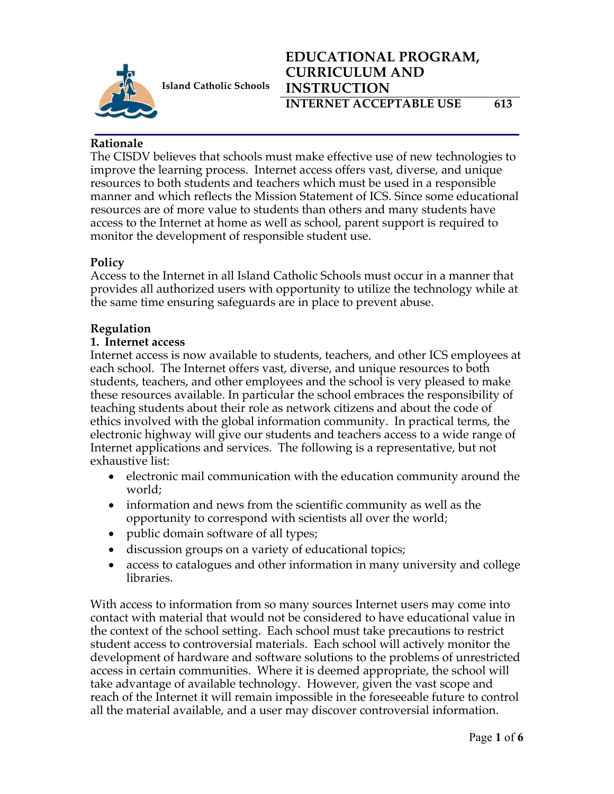

# **EDUCATIONAL PROGRAM, CURRICULUM AND INSTRUCTION INTERNET ACCEPTABLE USE** 613

# **Rationale**

The CISDV believes that schools must make effective use of new technologies to improve the learning process. Internet access offers vast, diverse, and unique resources to both students and teachers which must be used in a responsible manner and which reflects the Mission Statement of ICS. Since some educational resources are of more value to students than others and many students have access to the Internet at home as well as school, parent support is required to monitor the development of responsible student use.

# **Policy**

Access to the Internet in all Island Catholic Schools must occur in a manner that provides all authorized users with opportunity to utilize the technology while at the same time ensuring safeguards are in place to prevent abuse.

# **Regulation**

#### **1. Internet access**

Internet access is now available to students, teachers, and other ICS employees at each school. The Internet offers vast, diverse, and unique resources to both students, teachers, and other employees and the school is very pleased to make these resources available. In particular the school embraces the responsibility of teaching students about their role as network citizens and about the code of ethics involved with the global information community. In practical terms, the electronic highway will give our students and teachers access to a wide range of Internet applications and services. The following is a representative, but not exhaustive list:

- electronic mail communication with the education community around the world;
- information and news from the scientific community as well as the opportunity to correspond with scientists all over the world;
- public domain software of all types;
- discussion groups on a variety of educational topics;
- access to catalogues and other information in many university and college libraries.

With access to information from so many sources Internet users may come into contact with material that would not be considered to have educational value in the context of the school setting. Each school must take precautions to restrict student access to controversial materials. Each school will actively monitor the development of hardware and software solutions to the problems of unrestricted access in certain communities. Where it is deemed appropriate, the school will take advantage of available technology. However, given the vast scope and reach of the Internet it will remain impossible in the foreseeable future to control all the material available, and a user may discover controversial information.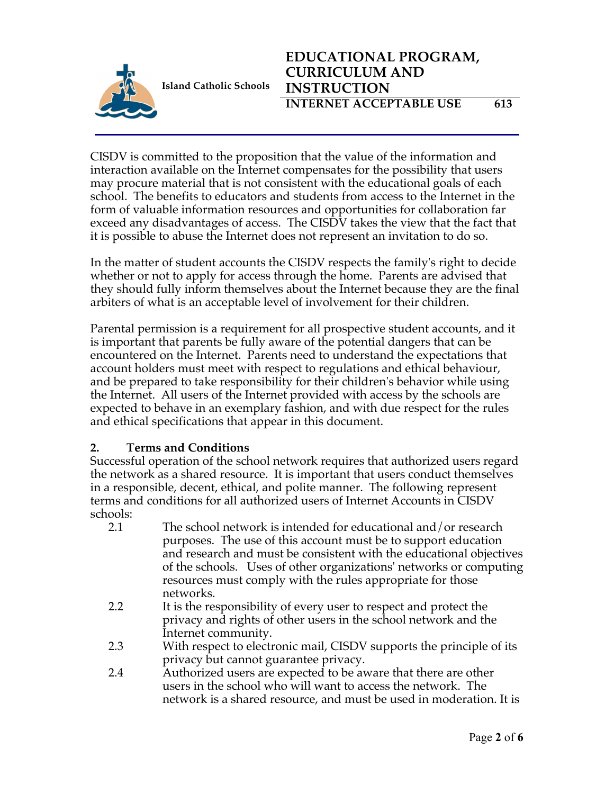

CISDV is committed to the proposition that the value of the information and interaction available on the Internet compensates for the possibility that users may procure material that is not consistent with the educational goals of each school. The benefits to educators and students from access to the Internet in the form of valuable information resources and opportunities for collaboration far exceed any disadvantages of access. The CISDV takes the view that the fact that it is possible to abuse the Internet does not represent an invitation to do so.

In the matter of student accounts the CISDV respects the family's right to decide whether or not to apply for access through the home. Parents are advised that they should fully inform themselves about the Internet because they are the final arbiters of what is an acceptable level of involvement for their children.

Parental permission is a requirement for all prospective student accounts, and it is important that parents be fully aware of the potential dangers that can be encountered on the Internet. Parents need to understand the expectations that account holders must meet with respect to regulations and ethical behaviour, and be prepared to take responsibility for their children's behavior while using the Internet. All users of the Internet provided with access by the schools are expected to behave in an exemplary fashion, and with due respect for the rules and ethical specifications that appear in this document.

#### **2. Terms and Conditions**

Successful operation of the school network requires that authorized users regard the network as a shared resource. It is important that users conduct themselves in a responsible, decent, ethical, and polite manner. The following represent terms and conditions for all authorized users of Internet Accounts in CISDV schools:

- 2.1 The school network is intended for educational and/or research purposes. The use of this account must be to support education and research and must be consistent with the educational objectives of the schools. Uses of other organizations' networks or computing resources must comply with the rules appropriate for those networks.
- 2.2 It is the responsibility of every user to respect and protect the privacy and rights of other users in the school network and the Internet community.
- 2.3 With respect to electronic mail, CISDV supports the principle of its privacy but cannot guarantee privacy.
- 2.4 Authorized users are expected to be aware that there are other users in the school who will want to access the network. The network is a shared resource, and must be used in moderation. It is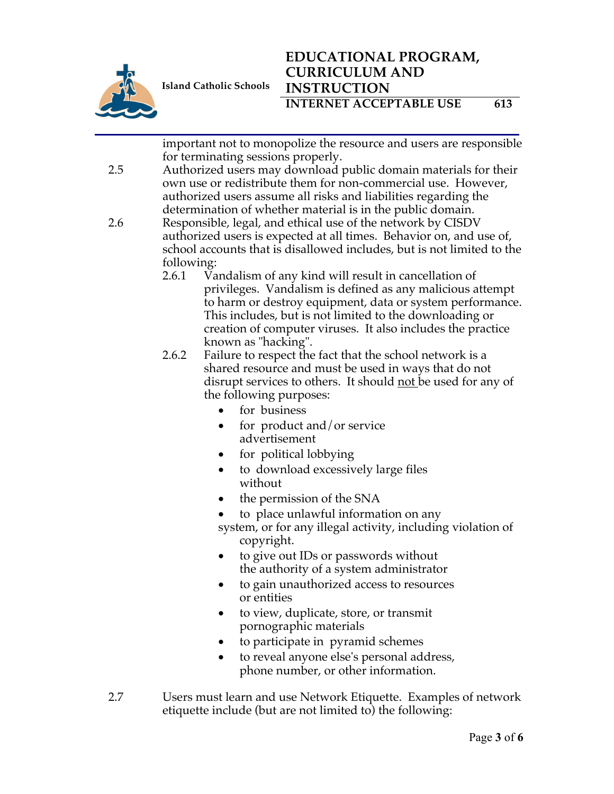

# **EDUCATIONAL PROGRAM, CURRICULUM AND INSTRUCTION INTERNET ACCEPTABLE USE** 613

|     |                                                                 | important not to monopolize the resource and users are responsible                                                               |  |  |
|-----|-----------------------------------------------------------------|----------------------------------------------------------------------------------------------------------------------------------|--|--|
|     |                                                                 | for terminating sessions properly.                                                                                               |  |  |
| 2.5 |                                                                 | Authorized users may download public domain materials for their<br>own use or redistribute them for non-commercial use. However, |  |  |
|     | authorized users assume all risks and liabilities regarding the |                                                                                                                                  |  |  |
|     |                                                                 | determination of whether material is in the public domain.                                                                       |  |  |
| 2.6 | Responsible, legal, and ethical use of the network by CISDV     |                                                                                                                                  |  |  |
|     |                                                                 | authorized users is expected at all times. Behavior on, and use of,                                                              |  |  |
|     |                                                                 | school accounts that is disallowed includes, but is not limited to the                                                           |  |  |
|     | following:                                                      |                                                                                                                                  |  |  |
|     | 2.6.1<br>Vandalism of any kind will result in cancellation of   |                                                                                                                                  |  |  |
|     |                                                                 | privileges. Vandalism is defined as any malicious attempt                                                                        |  |  |
|     |                                                                 | to harm or destroy equipment, data or system performance.                                                                        |  |  |
|     |                                                                 | This includes, but is not limited to the downloading or                                                                          |  |  |
|     |                                                                 | creation of computer viruses. It also includes the practice                                                                      |  |  |
|     |                                                                 | known as "hacking".                                                                                                              |  |  |
|     | 2.6.2                                                           | Failure to respect the fact that the school network is a                                                                         |  |  |
|     |                                                                 | shared resource and must be used in ways that do not                                                                             |  |  |
|     |                                                                 | disrupt services to others. It should not be used for any of                                                                     |  |  |
|     |                                                                 | the following purposes:                                                                                                          |  |  |
|     |                                                                 | for business                                                                                                                     |  |  |
|     |                                                                 | for product and/or service<br>٠                                                                                                  |  |  |
|     |                                                                 | advertisement                                                                                                                    |  |  |
|     |                                                                 | for political lobbying                                                                                                           |  |  |
|     |                                                                 | to download excessively large files<br>$\bullet$                                                                                 |  |  |
|     |                                                                 | without                                                                                                                          |  |  |
|     |                                                                 | the permission of the SNA                                                                                                        |  |  |
|     |                                                                 | to place unlawful information on any                                                                                             |  |  |
|     |                                                                 | system, or for any illegal activity, including violation of                                                                      |  |  |
|     |                                                                 | copyright.                                                                                                                       |  |  |
|     |                                                                 | to give out IDs or passwords without                                                                                             |  |  |
|     |                                                                 | the authority of a system administrator                                                                                          |  |  |
|     |                                                                 | to gain unauthorized access to resources<br>$\bullet$                                                                            |  |  |
|     |                                                                 | or entities                                                                                                                      |  |  |
|     |                                                                 | to view, duplicate, store, or transmit<br>$\bullet$                                                                              |  |  |
|     |                                                                 | pornographic materials                                                                                                           |  |  |
|     |                                                                 | to participate in pyramid schemes                                                                                                |  |  |

- to reveal anyone else's personal address, phone number, or other information.
- 2.7 Users must learn and use Network Etiquette. Examples of network etiquette include (but are not limited to) the following: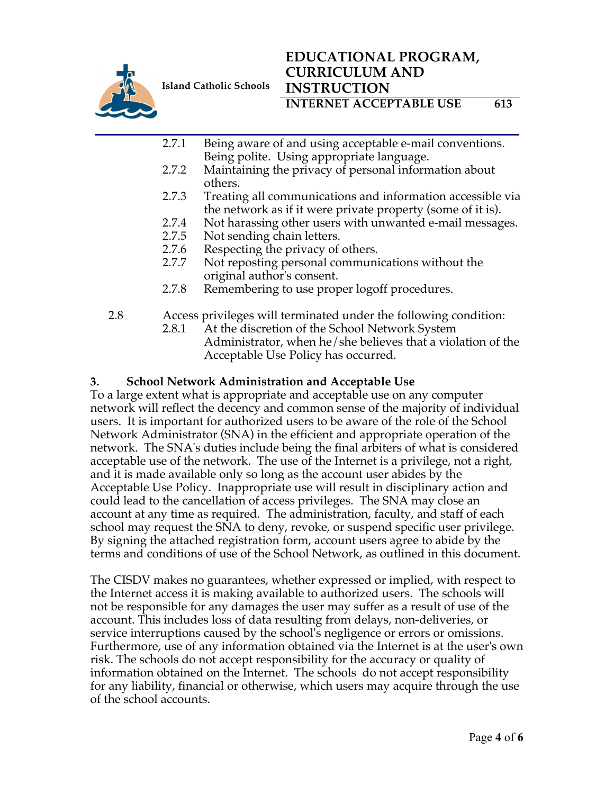

# **EDUCATIONAL PROGRAM, CURRICULUM AND INSTRUCTION**

**INTERNET ACCEPTABLE USE** 613

- 2.7.1 Being aware of and using acceptable e-mail conventions. Being polite. Using appropriate language.
- 2.7.2 Maintaining the privacy of personal information about others.
- 2.7.3 Treating all communications and information accessible via the network as if it were private property (some of it is).
- 2.7.4 Not harassing other users with unwanted e-mail messages.
- 2.7.5 Not sending chain letters.
- 2.7.6 Respecting the privacy of others.
- 2.7.7 Not reposting personal communications without the original author's consent.
- 2.7.8 Remembering to use proper logoff procedures.
- 2.8 Access privileges will terminated under the following condition: 2.8.1 At the discretion of the School Network System Administrator, when he/she believes that a violation of the Acceptable Use Policy has occurred.

#### **3. School Network Administration and Acceptable Use**

To a large extent what is appropriate and acceptable use on any computer network will reflect the decency and common sense of the majority of individual users. It is important for authorized users to be aware of the role of the School Network Administrator (SNA) in the efficient and appropriate operation of the network. The SNA's duties include being the final arbiters of what is considered acceptable use of the network. The use of the Internet is a privilege, not a right, and it is made available only so long as the account user abides by the Acceptable Use Policy. Inappropriate use will result in disciplinary action and could lead to the cancellation of access privileges. The SNA may close an account at any time as required. The administration, faculty, and staff of each school may request the SNA to deny, revoke, or suspend specific user privilege. By signing the attached registration form, account users agree to abide by the terms and conditions of use of the School Network, as outlined in this document.

The CISDV makes no guarantees, whether expressed or implied, with respect to the Internet access it is making available to authorized users. The schools will not be responsible for any damages the user may suffer as a result of use of the account. This includes loss of data resulting from delays, non-deliveries, or service interruptions caused by the school's negligence or errors or omissions. Furthermore, use of any information obtained via the Internet is at the user's own risk. The schools do not accept responsibility for the accuracy or quality of information obtained on the Internet. The schools do not accept responsibility for any liability, financial or otherwise, which users may acquire through the use of the school accounts.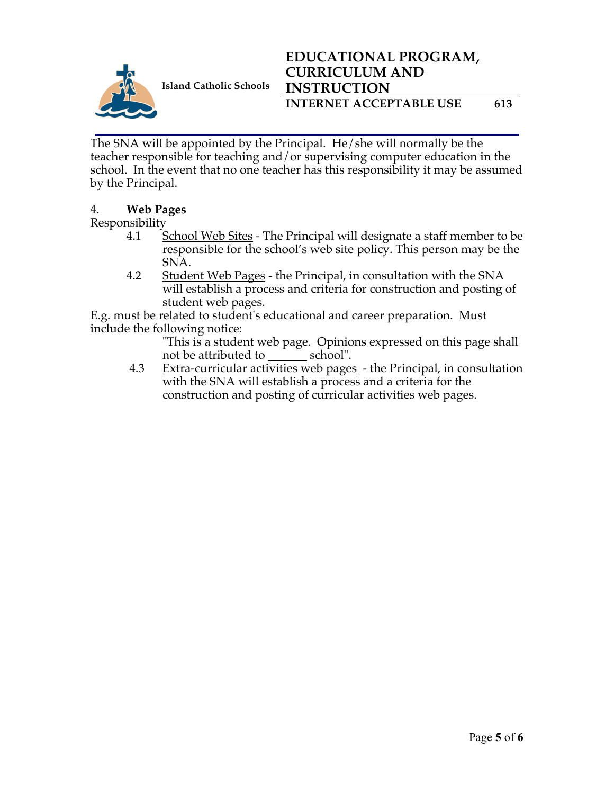

The SNA will be appointed by the Principal. He/she will normally be the teacher responsible for teaching and/or supervising computer education in the school. In the event that no one teacher has this responsibility it may be assumed by the Principal.

# 4. **Web Pages**

# Responsibility

- 4.1 School Web Sites The Principal will designate a staff member to be responsible for the school's web site policy. This person may be the SNA.
- 4.2 Student Web Pages the Principal, in consultation with the SNA will establish a process and criteria for construction and posting of student web pages.

E.g. must be related to student's educational and career preparation. Must include the following notice:

"This is a student web page. Opinions expressed on this page shall not be attributed to school".

4.3 Extra-curricular activities web pages - the Principal, in consultation with the SNA will establish a process and a criteria for the construction and posting of curricular activities web pages.